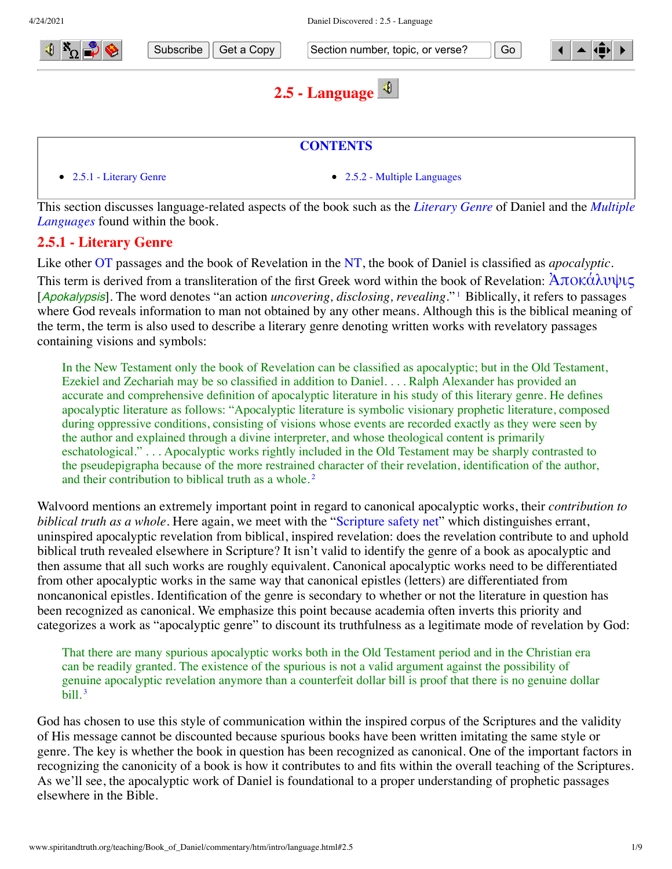



Subscribe  $\parallel$  Get a Copy  $\parallel$  Section number, topic, or verse?  $\parallel$  Go

<span id="page-0-1"></span>

# <span id="page-0-0"></span>**2.5 - Language**



[This section discusses language-related aspects of the book such as the](#page-1-0) *[Literary Genre](#page-0-0)* of Daniel and the *Multiple Languages* found within the book.

## **2.5.1 - Literary Genre**

Like other [OT](http://www.spiritandtruth.org/teaching/Book_of_Daniel/commentary/htm/glossary.html#5.2.67) passages and the book of Revelation in the [NT,](http://www.spiritandtruth.org/teaching/Book_of_Daniel/commentary/htm/glossary.html#5.2.65) the book of Daniel is classified as *apocalyptic*. This term is derived from a transliteration of the first Greek word within the book of Revelation:  $\text{Arok}\hat{\alpha}\lambda\text{where}$ [Apokalypsis]. The word denotes "an action *uncovering, disclosing, revealing*."<sup>[1](#page-6-0)</sup> Biblically, it refers to passages where God reveals information to man not obtained by any other means. Although this is the biblical meaning of the term, the term is also used to describe a literary genre denoting written works with revelatory passages containing visions and symbols:

<span id="page-0-2"></span>In the New Testament only the book of Revelation can be classified as apocalyptic; but in the Old Testament, Ezekiel and Zechariah may be so classified in addition to Daniel. . . . Ralph Alexander has provided an accurate and comprehensive definition of apocalyptic literature in his study of this literary genre. He defines apocalyptic literature as follows: "Apocalyptic literature is symbolic visionary prophetic literature, composed during oppressive conditions, consisting of visions whose events are recorded exactly as they were seen by the author and explained through a divine interpreter, and whose theological content is primarily eschatological." . . . Apocalyptic works rightly included in the Old Testament may be sharply contrasted to the pseudepigrapha because of the more restrained character of their revelation, identification of the author, and their contribution to biblical truth as a whole. [2](#page-6-1)

Walvoord mentions an extremely important point in regard to canonical apocalyptic works, their *contribution to biblical truth as a whole*. Here again, we meet with the ["Scripture safety net"](http://www.spiritandtruth.org/teaching/Book_of_Daniel/commentary/htm/glossary.html#5.2.80) which distinguishes errant, uninspired apocalyptic revelation from biblical, inspired revelation: does the revelation contribute to and uphold biblical truth revealed elsewhere in Scripture? It isn't valid to identify the genre of a book as apocalyptic and then assume that all such works are roughly equivalent. Canonical apocalyptic works need to be differentiated from other apocalyptic works in the same way that canonical epistles (letters) are differentiated from noncanonical epistles. Identification of the genre is secondary to whether or not the literature in question has been recognized as canonical. We emphasize this point because academia often inverts this priority and categorizes a work as "apocalyptic genre" to discount its truthfulness as a legitimate mode of revelation by God:

<span id="page-0-3"></span>That there are many spurious apocalyptic works both in the Old Testament period and in the Christian era can be readily granted. The existence of the spurious is not a valid argument against the possibility of genuine apocalyptic revelation anymore than a counterfeit dollar bill is proof that there is no genuine dollar bill. [3](#page-6-2)

God has chosen to use this style of communication within the inspired corpus of the Scriptures and the validity of His message cannot be discounted because spurious books have been written imitating the same style or genre. The key is whether the book in question has been recognized as canonical. One of the important factors in recognizing the canonicity of a book is how it contributes to and fits within the overall teaching of the Scriptures. As we'll see, the apocalyptic work of Daniel is foundational to a proper understanding of prophetic passages elsewhere in the Bible.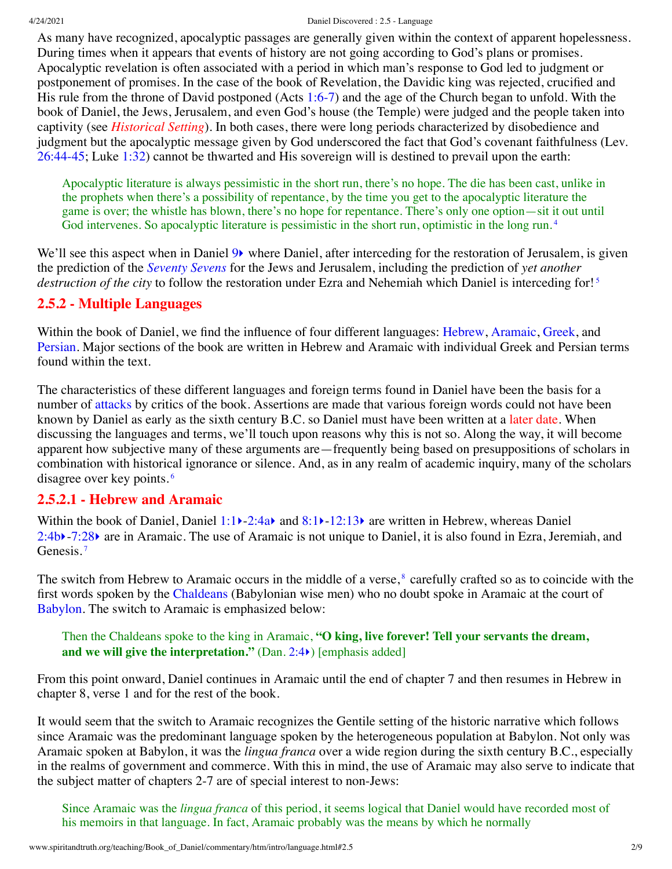#### 4/24/2021 Daniel Discovered : 2.5 - Language

As many have recognized, apocalyptic passages are generally given within the context of apparent hopelessness. During times when it appears that events of history are not going according to God's plans or promises. Apocalyptic revelation is often associated with a period in which man's response to God led to judgment or postponement of promises. In the case of the book of Revelation, the Davidic king was rejected, crucified and His rule from the throne of David postponed (Acts [1:6-7](http://www.spiritandtruth.org/bibles/nasb/b44c001.htm#Acts_C1V6)) and the age of the Church began to unfold. With the book of Daniel, the Jews, Jerusalem, and even God's house (the Temple) were judged and the people taken into captivity (see *[Historical Setting](http://www.spiritandtruth.org/teaching/Book_of_Daniel/commentary/htm/intro/setting.html#2.9)*). In both cases, there were long periods characterized by disobedience and judgment but the apocalyptic message given by God underscored the fact that God's covenant faithfulness (Lev. [26:44-45;](http://www.spiritandtruth.org/bibles/nasb/b03c026.htm#Lev._C26V44) Luke [1:32\)](http://www.spiritandtruth.org/bibles/nasb/b42c001.htm#Luke_C1V32) cannot be thwarted and His sovereign will is destined to prevail upon the earth:

<span id="page-1-3"></span><span id="page-1-2"></span><span id="page-1-0"></span>Apocalyptic literature is always pessimistic in the short run, there's no hope. The die has been cast, unlike in the prophets when there's a possibility of repentance, by the time you get to the apocalyptic literature the game is over; the whistle has blown, there's no hope for repentance. There's only one option—sit it out until God intervenes. So apocalyptic literature is pessimistic in the short run, optimistic in the long run.<sup>[4](#page-6-3)</sup>

We'll see this aspect when in Daniel  $9\blacktriangleright$  where Daniel, after interceding for the restoration of Jerusalem, is given the prediction of the *[Seventy Sevens](http://www.spiritandtruth.org/teaching/Book_of_Daniel/commentary/htm/topics/seventy_sevens.html#4.6)* for the Jews and Jerusalem, including the prediction of *yet another destruction of the city* to follow the restoration under Ezra and Nehemiah which Daniel is interceding for! [5](#page-6-4)

### **2.5.2 - Multiple Languages**

Within the book of Daniel, we find the influence of four different languages: [Hebrew,](#page-1-1) [Aramaic,](#page-1-1) [Greek](#page-3-0), and [Persian](#page-5-0). Major sections of the book are written in Hebrew and Aramaic with individual Greek and Persian terms found within the text.

The characteristics of these different languages and foreign terms found in Daniel have been the basis for a number of [attacks](http://www.spiritandtruth.org/teaching/Book_of_Daniel/commentary/htm/intro/introduction.html#2.2.4.1) by critics of the book. Assertions are made that various foreign words could not have been known by Daniel as early as the sixth century B.C. so Daniel must have been written at a [later date](http://www.spiritandtruth.org/teaching/Book_of_Daniel/commentary/htm/intro/date.html#2.4). When discussing the languages and terms, we'll touch upon reasons why this is not so. Along the way, it will become apparent how subjective many of these arguments are—frequently being based on presuppositions of scholars in combination with historical ignorance or silence. And, as in any realm of academic inquiry, many of the scholars disagree over key points. [6](#page-6-5)

#### <span id="page-1-4"></span><span id="page-1-1"></span>**2.5.2.1 - Hebrew and Aramaic**

Within the book of Daniel, Daniel [1:1](http://www.spiritandtruth.org/bibles/nasb/b27c001.htm#Dan._C1V1) > 2:4a and [8:1](http://www.spiritandtruth.org/bibles/nasb/b27c008.htm#Dan._C8V1) > [-12:13](http://www.spiritandtruth.org/bibles/nasb/b27c012.htm#Dan._C12V13) are written in Hebrew, whereas Daniel [2:4b](http://www.spiritandtruth.org/bibles/nasb/b27c002.htm#Dan._C2V4)[‣](http://www.spiritandtruth.org/teaching/Book_of_Daniel/commentary/htm/chapters/02.html#3.2.4)-[7:28](http://www.spiritandtruth.org/bibles/nasb/b27c007.htm#Dan._C7V28)[‣](http://www.spiritandtruth.org/teaching/Book_of_Daniel/commentary/htm/chapters/07.html#3.7.28) are in Aramaic. The use of Aramaic is not unique to Daniel, it is also found in Ezra, Jeremiah, and Genesis.<sup>[7](#page-6-6)</sup>

<span id="page-1-5"></span>The switch from Hebrew to Aramaic occurs in the middle of a verse,<sup>[8](#page-6-7)</sup> carefully crafted so as to coincide with the first words spoken by the [Chaldeans](http://www.spiritandtruth.org/teaching/Book_of_Daniel/commentary/htm/glossary.html#5.2.16) (Babylonian wise men) who no doubt spoke in Aramaic at the court of [Babylon.](http://www.spiritandtruth.org/teaching/Book_of_Daniel/commentary/htm/glossary.html#5.2.9) The switch to Aramaic is emphasized below:

#### <span id="page-1-6"></span>Then the Chaldeans spoke to the king in Aramaic, **"O king, live forever! Tell your servants the dream, and we will give the interpretation."** (Dan. [2:4](http://www.spiritandtruth.org/bibles/nasb/b27c002.htm#Dan._C2V4)[‣](http://www.spiritandtruth.org/teaching/Book_of_Daniel/commentary/htm/chapters/02.html#3.2.4)) [emphasis added]

From this point onward, Daniel continues in Aramaic until the end of chapter 7 and then resumes in Hebrew in chapter 8, verse 1 and for the rest of the book.

It would seem that the switch to Aramaic recognizes the Gentile setting of the historic narrative which follows since Aramaic was the predominant language spoken by the heterogeneous population at Babylon. Not only was Aramaic spoken at Babylon, it was the *lingua franca* over a wide region during the sixth century B.C., especially in the realms of government and commerce. With this in mind, the use of Aramaic may also serve to indicate that the subject matter of chapters 2-7 are of special interest to non-Jews:

Since Aramaic was the *lingua franca* of this period, it seems logical that Daniel would have recorded most of his memoirs in that language. In fact, Aramaic probably was the means by which he normally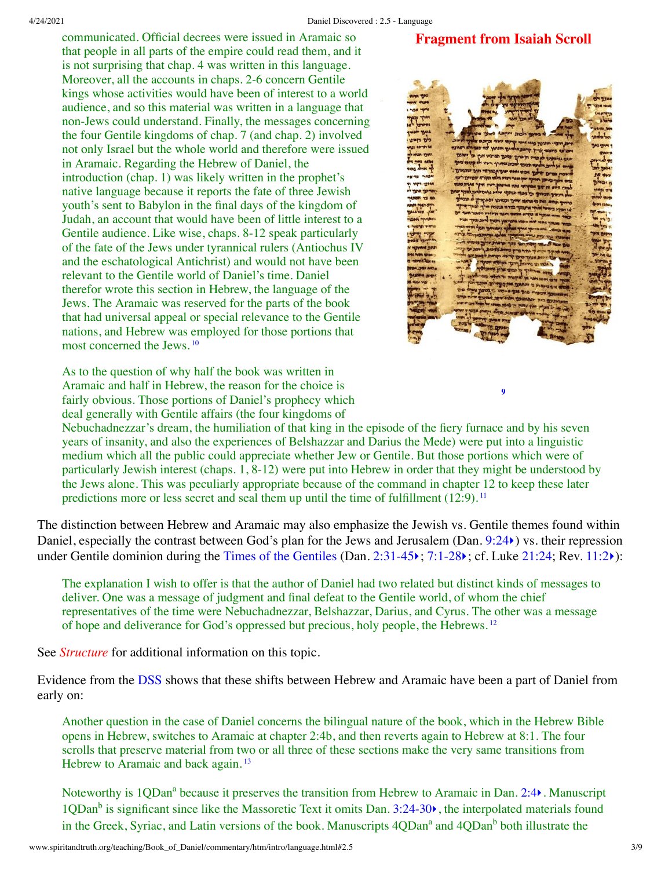**Fragment from Isaiah Scroll**

communicated. Official decrees were issued in Aramaic so that people in all parts of the empire could read them, and it is not surprising that chap. 4 was written in this language. Moreover, all the accounts in chaps. 2-6 concern Gentile kings whose activities would have been of interest to a world audience, and so this material was written in a language that non-Jews could understand. Finally, the messages concerning the four Gentile kingdoms of chap. 7 (and chap. 2) involved not only Israel but the whole world and therefore were issued in Aramaic. Regarding the Hebrew of Daniel, the introduction (chap. 1) was likely written in the prophet's native language because it reports the fate of three Jewish youth's sent to Babylon in the final days of the kingdom of Judah, an account that would have been of little interest to a Gentile audience. Like wise, chaps. 8-12 speak particularly of the fate of the Jews under tyrannical rulers (Antiochus IV and the eschatological Antichrist) and would not have been relevant to the Gentile world of Daniel's time. Daniel therefor wrote this section in Hebrew, the language of the Jews. The Aramaic was reserved for the parts of the book that had universal appeal or special relevance to the Gentile nations, and Hebrew was employed for those portions that most concerned the Jews. [10](#page-6-9)

<span id="page-2-1"></span>As to the question of why half the book was written in Aramaic and half in Hebrew, the reason for the choice is fairly obvious. Those portions of Daniel's prophecy which deal generally with Gentile affairs (the four kingdoms of



<span id="page-2-3"></span><span id="page-2-2"></span><span id="page-2-0"></span>**[9](#page-6-8)**

Nebuchadnezzar's dream, the humiliation of that king in the episode of the fiery furnace and by his seven years of insanity, and also the experiences of Belshazzar and Darius the Mede) were put into a linguistic medium which all the public could appreciate whether Jew or Gentile. But those portions which were of particularly Jewish interest (chaps. 1, 8-12) were put into Hebrew in order that they might be understood by the Jews alone. This was peculiarly appropriate because of the command in chapter 12 to keep these later predictions more or less secret and seal them up until the time of fulfillment (12:9).<sup>[11](#page-6-10)</sup>

The distinction between Hebrew and Aramaic may also emphasize the Jewish vs. Gentile themes found within Daniel, especially the contrast between God's plan for the Jews and Jerusalem (Dan. [9:24](http://www.spiritandtruth.org/bibles/nasb/b27c009.htm#Dan._C9V24) $\epsilon$ ) vs. their repression under Gentile dominion during the [Times of the Gentiles](http://www.spiritandtruth.org/teaching/Book_of_Daniel/commentary/htm/glossary.html#5.2.87) (Dan. [2:31-45](http://www.spiritandtruth.org/bibles/nasb/b27c002.htm#Dan._C2V31)); [7:1-28](http://www.spiritandtruth.org/bibles/nasb/b27c007.htm#Dan._C7V1)); cf. Luke [21:24](http://www.spiritandtruth.org/bibles/nasb/b42c021.htm#Luke_C21V24); Rev. [11:2](http://www.spiritandtruth.org/bibles/nasb/b66c011.htm#Rev._C11V2)):

The explanation I wish to offer is that the author of Daniel had two related but distinct kinds of messages to deliver. One was a message of judgment and final defeat to the Gentile world, of whom the chief representatives of the time were Nebuchadnezzar, Belshazzar, Darius, and Cyrus. The other was a message of hope and deliverance for God's oppressed but precious, holy people, the Hebrews. [12](#page-7-0)

See *[Structure](http://www.spiritandtruth.org/teaching/Book_of_Daniel/commentary/htm/intro/structure.html#2.8)* for additional information on this topic.

Evidence from the [DSS](http://www.spiritandtruth.org/teaching/Book_of_Daniel/commentary/htm/glossary.html#5.2.23) shows that these shifts between Hebrew and Aramaic have been a part of Daniel from early on:

Another question in the case of Daniel concerns the bilingual nature of the book, which in the Hebrew Bible opens in Hebrew, switches to Aramaic at chapter 2:4b, and then reverts again to Hebrew at 8:1. The four scrolls that preserve material from two or all three of these sections make the very same transitions from Hebrew to Aramaic and back again.<sup>[13](#page-7-1)</sup>

<span id="page-2-4"></span>Noteworthy is 1QDan<sup>a</sup> because it preserves the transition from Hebrew to Aramaic in Dan. [2:4](http://www.spiritandtruth.org/bibles/nasb/b27c002.htm#Dan._C2V4)). Manuscript 1QDan<sup>b</sup> is significant since like the Massoretic Text it omits Dan. [3:24-30](http://www.spiritandtruth.org/bibles/nasb/b27c003.htm#Dan._C3V24) $\blacktriangleright$ , the interpolated materials found in the Greek, Syriac, and Latin versions of the book. Manuscripts 4QDan<sup>a</sup> and 4QDan<sup>b</sup> both illustrate the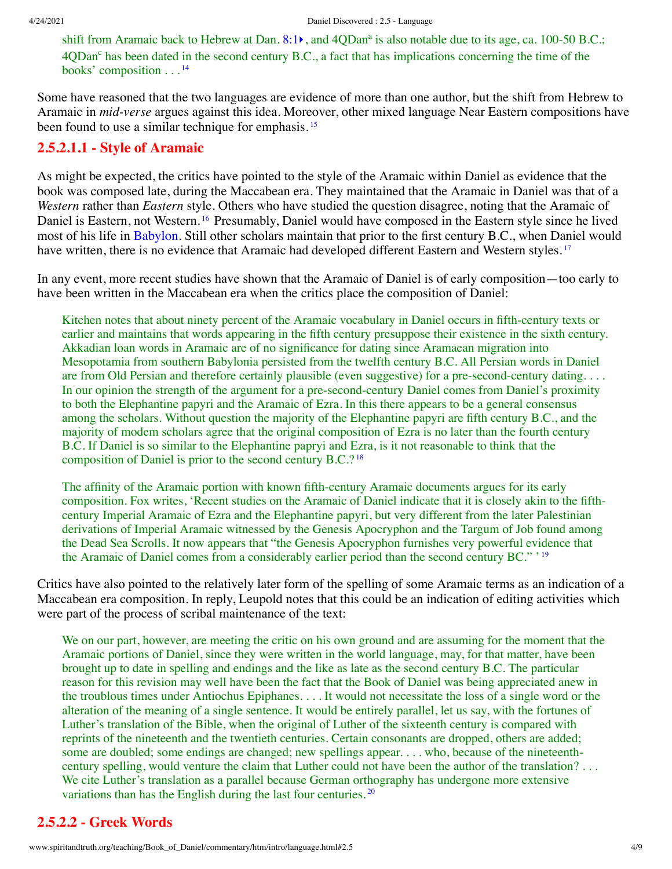<span id="page-3-2"></span><span id="page-3-1"></span>shift from Aramaic back to Hebrew at Dan. [8:1](http://www.spiritandtruth.org/bibles/nasb/b27c008.htm#Dan._C8V1) $\bullet$ , and 4QDan<sup>a</sup> is also notable due to its age, ca. 100-50 B.C.; 4QDan<sup>c</sup> has been dated in the second century B.C., a fact that has implications concerning the time of the books' composition . . . [14](#page-7-2)

Some have reasoned that the two languages are evidence of more than one author, but the shift from Hebrew to Aramaic in *mid-verse* argues against this idea. Moreover, other mixed language Near Eastern compositions have been found to use a similar technique for emphasis.<sup>[15](#page-7-3)</sup>

#### **2.5.2.1.1 - Style of Aramaic**

<span id="page-3-3"></span>As might be expected, the critics have pointed to the style of the Aramaic within Daniel as evidence that the book was composed late, during the Maccabean era. They maintained that the Aramaic in Daniel was that of a *Western* rather than *Eastern* style. Others who have studied the question disagree, noting that the Aramaic of Daniel is Eastern, not Western. [16](#page-7-4) Presumably, Daniel would have composed in the Eastern style since he lived most of his life in [Babylon](http://www.spiritandtruth.org/teaching/Book_of_Daniel/commentary/htm/glossary.html#5.2.9). Still other scholars maintain that prior to the first century B.C., when Daniel would have written, there is no evidence that Aramaic had developed different Eastern and Western styles.<sup>[17](#page-7-5)</sup>

In any event, more recent studies have shown that the Aramaic of Daniel is of early composition—too early to have been written in the Maccabean era when the critics place the composition of Daniel:

<span id="page-3-4"></span>Kitchen notes that about ninety percent of the Aramaic vocabulary in Daniel occurs in fifth-century texts or earlier and maintains that words appearing in the fifth century presuppose their existence in the sixth century. Akkadian loan words in Aramaic are of no significance for dating since Aramaean migration into Mesopotamia from southern Babylonia persisted from the twelfth century B.C. All Persian words in Daniel are from Old Persian and therefore certainly plausible (even suggestive) for a pre-second-century dating. . . . In our opinion the strength of the argument for a pre-second-century Daniel comes from Daniel's proximity to both the Elephantine papyri and the Aramaic of Ezra. In this there appears to be a general consensus among the scholars. Without question the majority of the Elephantine papyri are fifth century B.C., and the majority of modem scholars agree that the original composition of Ezra is no later than the fourth century B.C. If Daniel is so similar to the Elephantine papryi and Ezra, is it not reasonable to think that the composition of Daniel is prior to the second century B.C.? [18](#page-7-6)

<span id="page-3-6"></span><span id="page-3-5"></span>The affinity of the Aramaic portion with known fifth-century Aramaic documents argues for its early composition. Fox writes, 'Recent studies on the Aramaic of Daniel indicate that it is closely akin to the fifthcentury Imperial Aramaic of Ezra and the Elephantine papyri, but very different from the later Palestinian derivations of Imperial Aramaic witnessed by the Genesis Apocryphon and the Targum of Job found among the Dead Sea Scrolls. It now appears that "the Genesis Apocryphon furnishes very powerful evidence that the Aramaic of Daniel comes from a considerably earlier period than the second century BC." ' [19](#page-7-7)

Critics have also pointed to the relatively later form of the spelling of some Aramaic terms as an indication of a Maccabean era composition. In reply, Leupold notes that this could be an indication of editing activities which were part of the process of scribal maintenance of the text:

We on our part, however, are meeting the critic on his own ground and are assuming for the moment that the Aramaic portions of Daniel, since they were written in the world language, may, for that matter, have been brought up to date in spelling and endings and the like as late as the second century B.C. The particular reason for this revision may well have been the fact that the Book of Daniel was being appreciated anew in the troublous times under Antiochus Epiphanes. . . . It would not necessitate the loss of a single word or the alteration of the meaning of a single sentence. It would be entirely parallel, let us say, with the fortunes of Luther's translation of the Bible, when the original of Luther of the sixteenth century is compared with reprints of the nineteenth and the twentieth centuries. Certain consonants are dropped, others are added; some are doubled; some endings are changed; new spellings appear. . . . who, because of the nineteenthcentury spelling, would venture the claim that Luther could not have been the author of the translation? . . . We cite Luther's translation as a parallel because German orthography has undergone more extensive variations than has the English during the last four centuries.<sup>[20](#page-7-8)</sup>

## <span id="page-3-7"></span><span id="page-3-0"></span>**2.5.2.2 - Greek Words**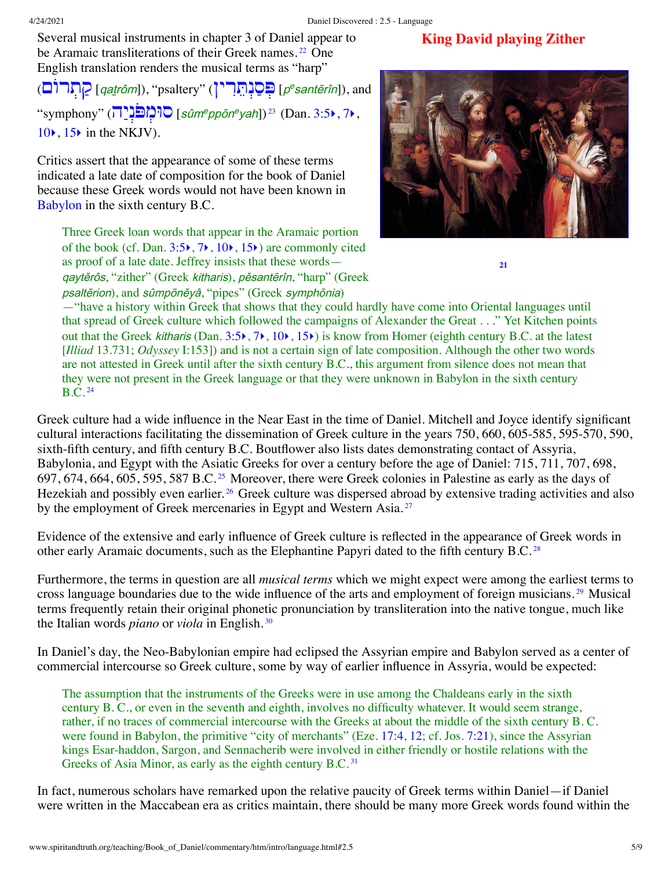Several musical instruments in chapter 3 of Daniel appear to be Aramaic transliterations of their Greek names.<sup>[22](#page-7-10)</sup> One English translation renders the musical terms as "harp"

<sup>p</sup> [ְפּ ַסְנ [ֵתִּרין](http://www.spiritandtruth.org/teaching/Book_of_Daniel/commentary/htm/intro/introduction.html#2.2.2.6)) "psaltery ",])qaṯrôm [ַק [ְתרוֹם](http://www.spiritandtruth.org/teaching/Book_of_Daniel/commentary/htm/intro/introduction.html#2.2.2.6)) <sup>e</sup>santērîn]), and  $\text{``symphony'' } (\overline{1})^{\text{in}}$   $\text{``sign}^{\text{e}}$   $\text{``sum}^{\text{e}} \text{''}$   $\text{``sum}^{\text{e}} \text{''}$  (Dan. [3:5](http://www.spiritandtruth.org/bibles/nasb/b27c003.htm#Dan._C3V5) $\text{``}$ , [7](http://www.spiritandtruth.org/bibles/nasb/b27c003.htm#Dan._C3V7) $\text{``}$ ,  $10\bullet$  $10\bullet$ ,  $15\bullet$  $15\bullet$  in the NKJV).

Critics assert that the appearance of some of these terms indicated a late date of composition for the book of Daniel because these Greek words would not have been known in [Babylon](http://www.spiritandtruth.org/teaching/Book_of_Daniel/commentary/htm/glossary.html#5.2.9) in the sixth century B.C.

<span id="page-4-2"></span><span id="page-4-1"></span>

**King David playing Zither**

<span id="page-4-8"></span><span id="page-4-7"></span><span id="page-4-6"></span><span id="page-4-0"></span>**[21](#page-7-9)**

Three Greek loan words that appear in the Aramaic portion of the book (cf. Dan.  $3:5\rightarrow$  $3:5\rightarrow$ ,  $7\rightarrow$  $7\rightarrow$ ,  $10\rightarrow$  $10\rightarrow$ ,  $15\rightarrow$  $15\rightarrow$ ) are commonly cited as proof of a late date. Jeffrey insists that these words qaytěrôs, "zither" (Greek kitharis), pěsantērîn, "harp" (Greek psaltērion), and sûmpōněyâ, "pipes" (Greek symphōnia)

—"have a history within Greek that shows that they could hardly have come into Oriental languages until that spread of Greek culture which followed the campaigns of Alexander the Great . . ." Yet Kitchen points out that the Greek kitharis (Dan.  $3:5\rightarrow, 7\rightarrow, 10\rightarrow, 15\rightarrow$  $3:5\rightarrow, 7\rightarrow, 10\rightarrow, 15\rightarrow$  $3:5\rightarrow, 7\rightarrow, 10\rightarrow, 15\rightarrow$  $3:5\rightarrow, 7\rightarrow, 10\rightarrow, 15\rightarrow$  $3:5\rightarrow, 7\rightarrow, 10\rightarrow, 15\rightarrow$  $3:5\rightarrow, 7\rightarrow, 10\rightarrow, 15\rightarrow$  $3:5\rightarrow, 7\rightarrow, 10\rightarrow, 15\rightarrow$  $3:5\rightarrow, 7\rightarrow, 10\rightarrow, 15\rightarrow$ ) is know from Homer (eighth century B.C. at the latest [*Illiad* 13.731; *Odyssey* I:153]) and is not a certain sign of late composition. Although the other two words are not attested in Greek until after the sixth century B.C., this argument from silence does not mean that they were not present in the Greek language or that they were unknown in Babylon in the sixth century  $B.C.<sup>24</sup>$  $B.C.<sup>24</sup>$  $B.C.<sup>24</sup>$ 

<span id="page-4-4"></span><span id="page-4-3"></span>Greek culture had a wide influence in the Near East in the time of Daniel. Mitchell and Joyce identify significant cultural interactions facilitating the dissemination of Greek culture in the years 750, 660, 605-585, 595-570, 590, sixth-fifth century, and fifth century B.C. Boutflower also lists dates demonstrating contact of Assyria, Babylonia, and Egypt with the Asiatic Greeks for over a century before the age of Daniel: 715, 711, 707, 698, 697, 674, 664, 605, 595, 587 B.C. [25](#page-7-13) Moreover, there were Greek colonies in Palestine as early as the days of Hezekiah and possibly even earlier.<sup>[26](#page-7-14)</sup> Greek culture was dispersed abroad by extensive trading activities and also by the employment of Greek mercenaries in Egypt and Western Asia.<sup>[27](#page-7-15)</sup>

<span id="page-4-5"></span>Evidence of the extensive and early influence of Greek culture is reflected in the appearance of Greek words in other early Aramaic documents, such as the Elephantine Papyri dated to the fifth century B.C.<sup>[28](#page-8-0)</sup>

Furthermore, the terms in question are all *musical terms* which we might expect were among the earliest terms to cross language boundaries due to the wide influence of the arts and employment of foreign musicians. [29](#page-8-1) Musical terms frequently retain their original phonetic pronunciation by transliteration into the native tongue, much like the Italian words *piano* or *viola* in English. [30](#page-8-2)

In Daniel's day, the Neo-Babylonian empire had eclipsed the Assyrian empire and Babylon served as a center of commercial intercourse so Greek culture, some by way of earlier influence in Assyria, would be expected:

<span id="page-4-10"></span><span id="page-4-9"></span>The assumption that the instruments of the Greeks were in use among the Chaldeans early in the sixth century B. C., or even in the seventh and eighth, involves no difficulty whatever. It would seem strange, rather, if no traces of commercial intercourse with the Greeks at about the middle of the sixth century B. C. were found in Babylon, the primitive "city of merchants" (Eze. [17:4](http://www.spiritandtruth.org/bibles/nasb/b26c017.htm#Eze._C17V4), [12;](http://www.spiritandtruth.org/bibles/nasb/b26c017.htm#Eze._C17V12) cf. Jos. [7:21\)](http://www.spiritandtruth.org/bibles/nasb/b06c007.htm#Jos._C7V21), since the Assyrian kings Esar-haddon, Sargon, and Sennacherib were involved in either friendly or hostile relations with the Greeks of Asia Minor, as early as the eighth century B.C.<sup>[31](#page-8-3)</sup>

In fact, numerous scholars have remarked upon the relative paucity of Greek terms within Daniel—if Daniel were written in the Maccabean era as critics maintain, there should be many more Greek words found within the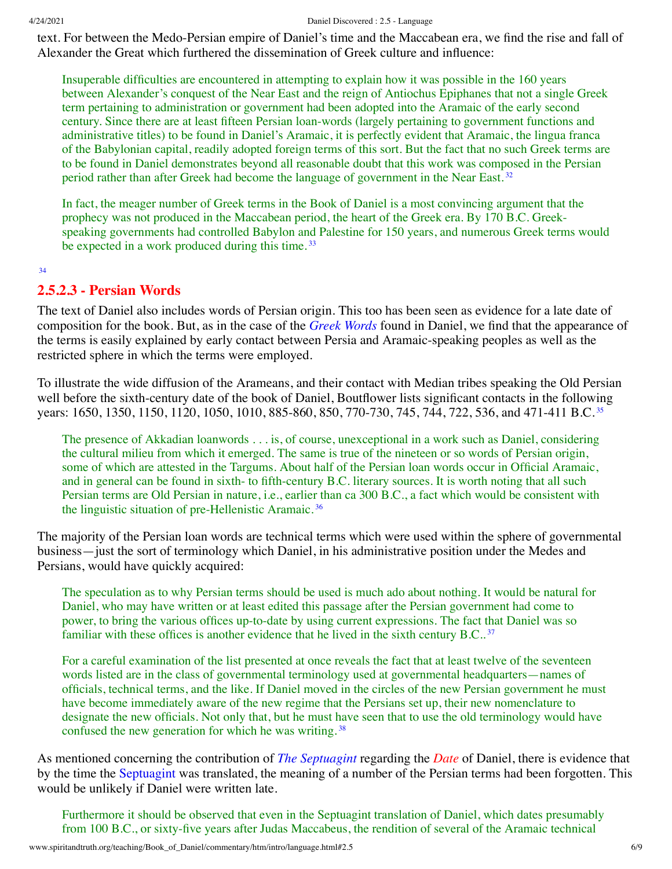text. For between the Medo-Persian empire of Daniel's time and the Maccabean era, we find the rise and fall of Alexander the Great which furthered the dissemination of Greek culture and influence:

Insuperable difficulties are encountered in attempting to explain how it was possible in the 160 years between Alexander's conquest of the Near East and the reign of Antiochus Epiphanes that not a single Greek term pertaining to administration or government had been adopted into the Aramaic of the early second century. Since there are at least fifteen Persian loan-words (largely pertaining to government functions and administrative titles) to be found in Daniel's Aramaic, it is perfectly evident that Aramaic, the lingua franca of the Babylonian capital, readily adopted foreign terms of this sort. But the fact that no such Greek terms are to be found in Daniel demonstrates beyond all reasonable doubt that this work was composed in the Persian period rather than after Greek had become the language of government in the Near East.<sup>[32](#page-8-4)</sup>

<span id="page-5-2"></span><span id="page-5-1"></span>In fact, the meager number of Greek terms in the Book of Daniel is a most convincing argument that the prophecy was not produced in the Maccabean period, the heart of the Greek era. By 170 B.C. Greekspeaking governments had controlled Babylon and Palestine for 150 years, and numerous Greek terms would be expected in a work produced during this time.<sup>[33](#page-8-5)</sup>

<span id="page-5-3"></span><span id="page-5-0"></span>[34](#page-8-6)

#### **2.5.2.3 - Persian Words**

The text of Daniel also includes words of Persian origin. This too has been seen as evidence for a late date of composition for the book. But, as in the case of the *[Greek Words](#page-3-0)* found in Daniel, we find that the appearance of the terms is easily explained by early contact between Persia and Aramaic-speaking peoples as well as the restricted sphere in which the terms were employed.

To illustrate the wide diffusion of the Arameans, and their contact with Median tribes speaking the Old Persian well before the sixth-century date of the book of Daniel, Boutflower lists significant contacts in the following years: 1650, 1[35](#page-8-7)0, 1150, 1120, 1050, 1010, 885-860, 850, 770-730, 745, 744, 722, 536, and 471-411 B.C.<sup>35</sup>

<span id="page-5-5"></span><span id="page-5-4"></span>The presence of Akkadian loanwords . . . is, of course, unexceptional in a work such as Daniel, considering the cultural milieu from which it emerged. The same is true of the nineteen or so words of Persian origin, some of which are attested in the Targums. About half of the Persian loan words occur in Official Aramaic, and in general can be found in sixth- to fifth-century B.C. literary sources. It is worth noting that all such Persian terms are Old Persian in nature, i.e., earlier than ca 300 B.C., a fact which would be consistent with the linguistic situation of pre-Hellenistic Aramaic. [36](#page-8-8)

The majority of the Persian loan words are technical terms which were used within the sphere of governmental business—just the sort of terminology which Daniel, in his administrative position under the Medes and Persians, would have quickly acquired:

The speculation as to why Persian terms should be used is much ado about nothing. It would be natural for Daniel, who may have written or at least edited this passage after the Persian government had come to power, to bring the various offices up-to-date by using current expressions. The fact that Daniel was so familiar with these offices is another evidence that he lived in the sixth century B.C..<sup>[37](#page-8-9)</sup>

<span id="page-5-7"></span><span id="page-5-6"></span>For a careful examination of the list presented at once reveals the fact that at least twelve of the seventeen words listed are in the class of governmental terminology used at governmental headquarters—names of officials, technical terms, and the like. If Daniel moved in the circles of the new Persian government he must have become immediately aware of the new regime that the Persians set up, their new nomenclature to designate the new officials. Not only that, but he must have seen that to use the old terminology would have confused the new generation for which he was writing. [38](#page-8-10)

As mentioned concerning the contribution of *[The Septuagint](http://www.spiritandtruth.org/teaching/Book_of_Daniel/commentary/htm/intro/date.html#2.4.2.4)* regarding the *[Date](http://www.spiritandtruth.org/teaching/Book_of_Daniel/commentary/htm/intro/date.html#2.4)* of Daniel, there is evidence that by the time the [Septuagint](http://www.spiritandtruth.org/teaching/Book_of_Daniel/commentary/htm/glossary.html#5.2.81) was translated, the meaning of a number of the Persian terms had been forgotten. This would be unlikely if Daniel were written late.

Furthermore it should be observed that even in the Septuagint translation of Daniel, which dates presumably from 100 B.C., or sixty-five years after Judas Maccabeus, the rendition of several of the Aramaic technical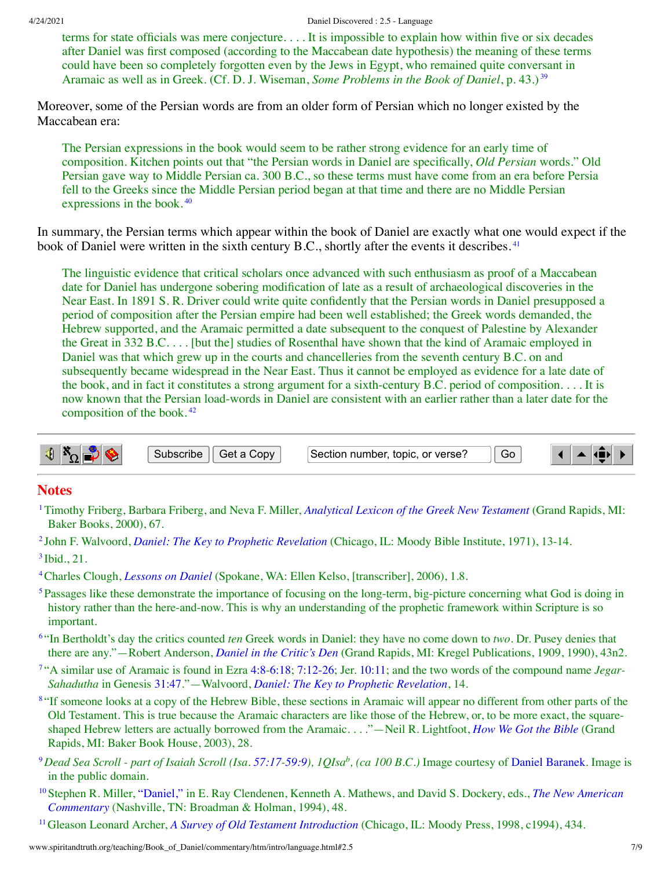4/24/2021 Daniel Discovered : 2.5 - Language

<span id="page-6-11"></span>terms for state officials was mere conjecture. . . . It is impossible to explain how within five or six decades after Daniel was first composed (according to the Maccabean date hypothesis) the meaning of these terms could have been so completely forgotten even by the Jews in Egypt, who remained quite conversant in Aramaic as well as in Greek. (Cf. D. J. Wiseman, *Some Problems in the Book of Daniel*, p. 43.) [39](#page-8-11)

Moreover, some of the Persian words are from an older form of Persian which no longer existed by the Maccabean era:

<span id="page-6-12"></span>The Persian expressions in the book would seem to be rather strong evidence for an early time of composition. Kitchen points out that "the Persian words in Daniel are specifically, *Old Persian* words." Old Persian gave way to Middle Persian ca. 300 B.C., so these terms must have come from an era before Persia fell to the Greeks since the Middle Persian period began at that time and there are no Middle Persian expressions in the book. [40](#page-8-12)

In summary, the Persian terms which appear within the book of Daniel are exactly what one would expect if the book of Daniel were written in the sixth century B.C., shortly after the events it describes.<sup>[41](#page-8-13)</sup>

<span id="page-6-13"></span>The linguistic evidence that critical scholars once advanced with such enthusiasm as proof of a Maccabean date for Daniel has undergone sobering modification of late as a result of archaeological discoveries in the Near East. In 1891 S. R. Driver could write quite confidently that the Persian words in Daniel presupposed a period of composition after the Persian empire had been well established; the Greek words demanded, the Hebrew supported, and the Aramaic permitted a date subsequent to the conquest of Palestine by Alexander the Great in 332 B.C. . . . [but the] studies of Rosenthal have shown that the kind of Aramaic employed in Daniel was that which grew up in the courts and chancelleries from the seventh century B.C. on and subsequently became widespread in the Near East. Thus it cannot be employed as evidence for a late date of the book, and in fact it constitutes a strong argument for a sixth-century B.C. period of composition. . . . It is now known that the Persian load-words in Daniel are consistent with an earlier rather than a later date for the composition of the book. [42](#page-8-14)

<span id="page-6-14"></span>

#### **Notes**

- <span id="page-6-0"></span>[1](#page-0-1)Timothy Friberg, Barbara Friberg, and Neva F. Miller, *[Analytical](http://www.spiritandtruth.org/teaching/Book_of_Daniel/commentary/htm/bibliography.html#69514) Lexicon of the Greek New Testament* (Grand Rapids, MI: Baker Books, 2000), 67.
- <span id="page-6-2"></span><span id="page-6-1"></span>[2](#page-0-2) John F. Walvoord, *Daniel: The Key to Prophetic [Revelation](http://www.spiritandtruth.org/teaching/Book_of_Daniel/commentary/htm/bibliography.html#69809)* (Chicago, IL: Moody Bible Institute, 1971), 13-14.  $3$  Ibid., 21.
- <span id="page-6-3"></span>[4](#page-1-2)Charles Clough, *[Lessons](http://www.spiritandtruth.org/teaching/Book_of_Daniel/commentary/htm/bibliography.html#69451) on Daniel* (Spokane, WA: Ellen Kelso, [transcriber], 2006), 1.8.
- <span id="page-6-4"></span><sup>[5](#page-1-3)</sup>Passages like these demonstrate the importance of focusing on the long-term, big-picture concerning what God is doing in history rather than the here-and-now. This is why an understanding of the prophetic framework within Scripture is so important.
- <span id="page-6-5"></span>[6](#page-1-4) "In Bertholdt's day the critics counted *ten* Greek words in Daniel: they have no come down to *two*. Dr. Pusey denies that there are any."—Robert Anderson, *Daniel in the [Critic's](http://www.spiritandtruth.org/teaching/Book_of_Daniel/commentary/htm/bibliography.html#69341) Den* (Grand Rapids, MI: Kregel Publications, 1909, 1990), 43n2.
- <span id="page-6-6"></span>[7](#page-1-5) "A similar use of Aramaic is found in Ezra [4:8-](http://www.spiritandtruth.org/bibles/nasb/b15c004.htm#Ezra_C4V8)[6:18](http://www.spiritandtruth.org/bibles/nasb/b15c006.htm#Ezra_C6V18); [7:12-26](http://www.spiritandtruth.org/bibles/nasb/b15c007.htm#Ezra_C7V12); Jer. [10:11;](http://www.spiritandtruth.org/bibles/nasb/b24c010.htm#Jer._C10V11) and the two words of the compound name *Jegar-Sahadutha* in Genesis [31:47](http://www.spiritandtruth.org/bibles/nasb/b01c031.htm#Gen._C31V47)."—Walvoord, *Daniel: The Key to Prophetic [Revelation](http://www.spiritandtruth.org/teaching/Book_of_Daniel/commentary/htm/bibliography.html#69809)*, 14.
- <span id="page-6-7"></span><sup>[8](#page-1-6)</sup> "If someone looks at a copy of the Hebrew Bible, these sections in Aramaic will appear no different from other parts of the Old Testament. This is true because the Aramaic characters are like those of the Hebrew, or, to be more exact, the squareshaped Hebrew letters are actually borrowed from the Aramaic. . . ."—Neil R. Lightfoot, *How We Got the [Bible](http://www.spiritandtruth.org/teaching/Book_of_Daniel/commentary/htm/bibliography.html#69633)* (Grand Rapids, MI: Baker Book House, 2003), 28.
- <span id="page-6-8"></span> $^9$  $^9$ Dead Sea Scroll - part of Isaiah Scroll (Isa. [57:17](http://www.spiritandtruth.org/bibles/nasb/b23c057.htm#Isa._C57V17)-[59:9](http://www.spiritandtruth.org/bibles/nasb/b23c059.htm#Isa._C59V9)), 1QIsa $^b$ , (ca 100 B.C.) Image courtesy of Daniel [Baranek](http://commons.wikimedia.org/wiki/File:1QIsa_b.jpg). Image is in the public domain.
- <span id="page-6-9"></span>[10](#page-2-1)Stephen R. Miller, ["Daniel,"](http://www.spiritandtruth.org/teaching/Book_of_Daniel/commentary/htm/bibliography.html#69657) in E. Ray Clendenen, Kenneth A. Mathews, and David S. Dockery, eds., *The New American [Commentary](http://www.spiritandtruth.org/teaching/Book_of_Daniel/commentary/htm/bibliography.html#69671)* (Nashville, TN: Broadman & Holman, 1994), 48.
- <span id="page-6-10"></span>[11](#page-2-2)Gleason Leonard Archer, *A Survey of Old Testament [Introduction](http://www.spiritandtruth.org/teaching/Book_of_Daniel/commentary/htm/bibliography.html#69356)* (Chicago, IL: Moody Press, 1998, c1994), 434.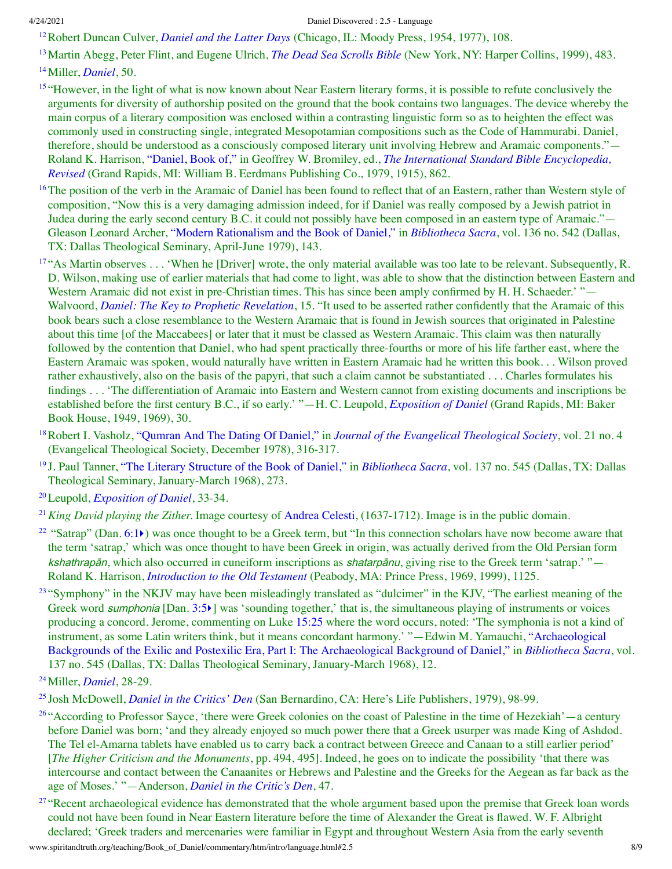<span id="page-7-0"></span>[12](#page-2-3)Robert Duncan Culver, *[Daniel](http://www.spiritandtruth.org/teaching/Book_of_Daniel/commentary/htm/bibliography.html#69461) and the Latter Days* (Chicago, IL: Moody Press, 1954, 1977), 108.

<span id="page-7-1"></span>[13](#page-2-4)Martin Abegg, Peter Flint, and Eugene Ulrich, *The Dead Sea [Scrolls](http://www.spiritandtruth.org/teaching/Book_of_Daniel/commentary/htm/bibliography.html#69480) Bible* (New York, NY: Harper Collins, 1999), 483. [14](#page-3-1)Miller, *[Daniel](http://www.spiritandtruth.org/teaching/Book_of_Daniel/commentary/htm/bibliography.html#69657)*, 50.

<span id="page-7-3"></span><span id="page-7-2"></span><sup>[15](#page-3-2)</sup> "However, in the light of what is now known about Near Eastern literary forms, it is possible to refute conclusively the arguments for diversity of authorship posited on the ground that the book contains two languages. The device whereby the main corpus of a literary composition was enclosed within a contrasting linguistic form so as to heighten the effect was commonly used in constructing single, integrated Mesopotamian compositions such as the Code of Hammurabi. Daniel, therefore, should be understood as a consciously composed literary unit involving Hebrew and Aramaic components."— Roland K. Harrison, ["Daniel,](http://www.spiritandtruth.org/teaching/Book_of_Daniel/commentary/htm/bibliography.html#69543) Book of," in Geoffrey W. Bromiley, ed., *The International Standard Bible [Encyclopedia,](http://www.spiritandtruth.org/teaching/Book_of_Daniel/commentary/htm/bibliography.html#69580) Revised* (Grand Rapids, MI: William B. Eerdmans Publishing Co., 1979, 1915), 862.

<span id="page-7-4"></span><sup>[16](#page-3-3)</sup>The position of the verb in the Aramaic of Daniel has been found to reflect that of an Eastern, rather than Western style of composition, "Now this is a very damaging admission indeed, for if Daniel was really composed by a Jewish patriot in Judea during the early second century B.C. it could not possibly have been composed in an eastern type of Aramaic."— Gleason Leonard Archer, "Modern [Rationalism](http://www.spiritandtruth.org/teaching/Book_of_Daniel/commentary/htm/bibliography.html#69355) and the Book of Daniel," in *[Bibliotheca](http://www.spiritandtruth.org/teaching/Book_of_Daniel/commentary/htm/bibliography.html#69418) Sacra*, vol. 136 no. 542 (Dallas, TX: Dallas Theological Seminary, April-June 1979), 143.

<span id="page-7-5"></span><sup>[17](#page-3-4)</sup> "As Martin observes . . . 'When he [Driver] wrote, the only material available was too late to be relevant. Subsequently, R. D. Wilson, making use of earlier materials that had come to light, was able to show that the distinction between Eastern and Western Aramaic did not exist in pre-Christian times. This has since been amply confirmed by H. H. Schaeder.' "— Walvoord, *Daniel: The Key to Prophetic [Revelation](http://www.spiritandtruth.org/teaching/Book_of_Daniel/commentary/htm/bibliography.html#69809)*, 15. "It used to be asserted rather confidently that the Aramaic of this book bears such a close resemblance to the Western Aramaic that is found in Jewish sources that originated in Palestine about this time [of the Maccabees] or later that it must be classed as Western Aramaic. This claim was then naturally followed by the contention that Daniel, who had spent practically three-fourths or more of his life farther east, where the Eastern Aramaic was spoken, would naturally have written in Eastern Aramaic had he written this book. . . Wilson proved rather exhaustively, also on the basis of the papyri, that such a claim cannot be substantiated . . . Charles formulates his findings . . . 'The differentiation of Aramaic into Eastern and Western cannot from existing documents and inscriptions be established before the first century B.C., if so early.' "—H. C. Leupold, *[Exposition](http://www.spiritandtruth.org/teaching/Book_of_Daniel/commentary/htm/bibliography.html#69631) of Daniel* (Grand Rapids, MI: Baker Book House, 1949, 1969), 30.

<span id="page-7-6"></span>[18](#page-3-5)Robert I. Vasholz, ["Qumran](http://www.spiritandtruth.org/teaching/Book_of_Daniel/commentary/htm/bibliography.html#69801) And The Dating Of Daniel," in *Journal of the Evangelical [Theological](http://www.spiritandtruth.org/teaching/Book_of_Daniel/commentary/htm/bibliography.html#69586) Society*, vol. 21 no. 4 (Evangelical Theological Society, December 1978), 316-317.

<span id="page-7-7"></span>[19](#page-3-6) J. Paul Tanner, "The Literary [Structure](http://www.spiritandtruth.org/teaching/Book_of_Daniel/commentary/htm/bibliography.html#69769) of the Book of Daniel," in *[Bibliotheca](http://www.spiritandtruth.org/teaching/Book_of_Daniel/commentary/htm/bibliography.html#69419) Sacra*, vol. 137 no. 545 (Dallas, TX: Dallas Theological Seminary, January-March 1968), 273.

<span id="page-7-8"></span>[20](#page-3-7)Leupold, *[Exposition](http://www.spiritandtruth.org/teaching/Book_of_Daniel/commentary/htm/bibliography.html#69631) of Daniel*, 33-34.

<span id="page-7-9"></span>[21](#page-4-0)*King David playing the Zither.* Image courtesy of [Andrea](http://commons.wikimedia.org/wiki/File:Andrea_Celesti_-_King_David_Playing_the_Zither_-_WGA04619.jpg) Celesti, (1637-1712). Image is in the public domain.

<span id="page-7-10"></span><sup>[22](#page-4-1)</sup> "Satrap" (Dan. [6:1](http://www.spiritandtruth.org/bibles/nasb/b27c006.htm#Dan._C6V1) $\blacktriangleright$ ) was once thought to be a Greek term, but "In this connection scholars have now become aware that the term 'satrap,' which was once thought to have been Greek in origin, was actually derived from the Old Persian form kshathrapān, which also occurred in cuneiform inscriptions as shatarpānu, giving rise to the Greek term 'satrap.' "— Roland K. Harrison, *[Introduction](http://www.spiritandtruth.org/teaching/Book_of_Daniel/commentary/htm/bibliography.html#69544) to the Old Testament* (Peabody, MA: Prince Press, 1969, 1999), 1125.

<span id="page-7-11"></span> $23$  "Symphony" in the NKJV may have been misleadingly translated as "dulcimer" in the KJV, "The earliest meaning of the Greek word *sumphonia* [Dan. [3:5](http://www.spiritandtruth.org/bibles/nasb/b27c003.htm#Dan._C3V5))] was 'sounding together,' that is, the simultaneous playing of instruments or voices producing a concord. Jerome, commenting on Luke [15:25](http://www.spiritandtruth.org/bibles/nasb/b42c015.htm#Luke_C15V25) where the word occurs, noted: 'The symphonia is not a kind of instrument, as some Latin writers think, but it means concordant harmony.' "—Edwin M. Yamauchi, ["Archaeological](http://www.spiritandtruth.org/teaching/Book_of_Daniel/commentary/htm/bibliography.html#69847) Backgrounds of the Exilic and Postexilic Era, Part I: The Archaeological Background of Daniel," in *[Bibliotheca](http://www.spiritandtruth.org/teaching/Book_of_Daniel/commentary/htm/bibliography.html#69419) Sacra*, vol. 137 no. 545 (Dallas, TX: Dallas Theological Seminary, January-March 1968), 12.

<span id="page-7-13"></span>[25](#page-4-4) Josh McDowell, *Daniel in the [Critics'](http://www.spiritandtruth.org/teaching/Book_of_Daniel/commentary/htm/bibliography.html#69653) Den* (San Bernardino, CA: Here's Life Publishers, 1979), 98-99.

<span id="page-7-14"></span><sup>[26](#page-4-5)</sup> "According to Professor Sayce, 'there were Greek colonies on the coast of Palestine in the time of Hezekiah'—a century before Daniel was born; 'and they already enjoyed so much power there that a Greek usurper was made King of Ashdod. The Tel el-Amarna tablets have enabled us to carry back a contract between Greece and Canaan to a still earlier period' [*The Higher Criticism and the Monuments*, pp. 494, 495]. Indeed, he goes on to indicate the possibility 'that there was intercourse and contact between the Canaanites or Hebrews and Palestine and the Greeks for the Aegean as far back as the age of Moses.' "—Anderson, *Daniel in the [Critic's](http://www.spiritandtruth.org/teaching/Book_of_Daniel/commentary/htm/bibliography.html#69341) Den*, 47.

<span id="page-7-15"></span><sup>[27](#page-4-6)</sup> "Recent archaeological evidence has demonstrated that the whole argument based upon the premise that Greek loan words could not have been found in Near Eastern literature before the time of Alexander the Great is flawed. W. F. Albright declared; 'Greek traders and mercenaries were familiar in Egypt and throughout Western Asia from the early seventh

<span id="page-7-12"></span>[<sup>24</sup>](#page-4-3)Miller, *[Daniel](http://www.spiritandtruth.org/teaching/Book_of_Daniel/commentary/htm/bibliography.html#69657)*, 28-29.